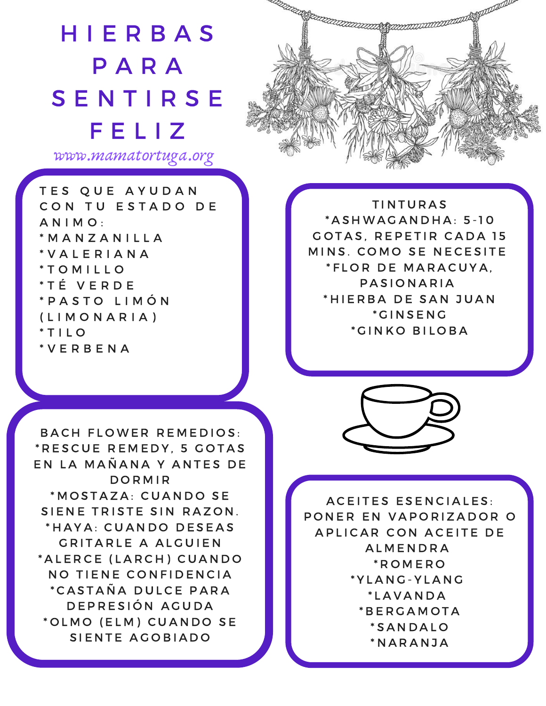## **HIERBAS** P A R A **SENTIRSE** F E L I Z

www.mamatortuga.org

T E S Q U E A Y U D A N CON TU ESTADO DE A N I M O : \* M A N Z A N I L L A \* V A L E R I A N A \* T O M I L L O \* T É V E R D E \* P A S T O L I M Ó N ( L I M O N A R I A )  $*$  T I L O \* V E R B E N A

**TINTURAS** \* A S H W A G A N D H A : 5 -1 0 GOTAS, REPETIR CADA 15 MINS. COMO SE NECESITE \* F L O R D E MARACUYA. PASIONARIA \* H I E R B A D E S A N J U A N \* G I N S E N G \* GINKO BILOBA

BACH FLOWER REMEDIOS: \* R E S C U E R E M E D Y , 5 G O T A S EN LA MAÑANA Y ANTES DE **DORMIR** \* MOSTAZA: CUANDO SE SIENE TRISTE SIN RAZON. \* HAYA: CUANDO DESEAS GRITARLE A ALGUIEN \* A L E R C E (L A R C H ) C U A N D O NO TIENE CONFIDENCIA \* C A S T A Ñ A D U L C E P A R A DE PRESIÓN AGUDA \* OLMO (ELM) CUANDO SE SIENTE AGOBIADO



A C E I T E S E S E N C I A L E S : PONER EN VAPORIZADOR O A PLICAR CON A CEITE DE **ALMENDRA** \* R O M E R O \* Y L A N G - Y L A N G \* L A V A N D A \* B E R G A M O T A \* S A N D A L O \* N A R A N J A